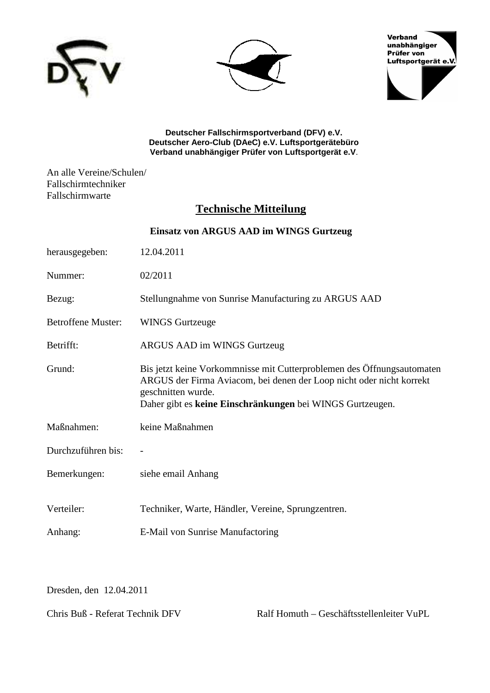





**Deutscher Fallschirmsportverband (DFV) e.V. Deutscher Aero-Club (DAeC) e.V. Luftsportgerätebüro Verband unabhängiger Prüfer von Luftsportgerät e.V**.

An alle Vereine/Schulen/ Fallschirmtechniker Fallschirmwarte

## **Technische Mitteilung**

| Einsatz von ARGUS AAD im WINGS Gurtzeug |                                                                                                                                                                                                                                   |
|-----------------------------------------|-----------------------------------------------------------------------------------------------------------------------------------------------------------------------------------------------------------------------------------|
| herausgegeben:                          | 12.04.2011                                                                                                                                                                                                                        |
| Nummer:                                 | 02/2011                                                                                                                                                                                                                           |
| Bezug:                                  | Stellungnahme von Sunrise Manufacturing zu ARGUS AAD                                                                                                                                                                              |
| <b>Betroffene Muster:</b>               | <b>WINGS Gurtzeuge</b>                                                                                                                                                                                                            |
| Betrifft:                               | ARGUS AAD im WINGS Gurtzeug                                                                                                                                                                                                       |
| Grund:                                  | Bis jetzt keine Vorkommnisse mit Cutterproblemen des Öffnungsautomaten<br>ARGUS der Firma Aviacom, bei denen der Loop nicht oder nicht korrekt<br>geschnitten wurde.<br>Daher gibt es keine Einschränkungen bei WINGS Gurtzeugen. |
| Maßnahmen:                              | keine Maßnahmen                                                                                                                                                                                                                   |
| Durchzuführen bis:                      |                                                                                                                                                                                                                                   |
| Bemerkungen:                            | siehe email Anhang                                                                                                                                                                                                                |
| Verteiler:                              | Techniker, Warte, Händler, Vereine, Sprungzentren.                                                                                                                                                                                |
| Anhang:                                 | E-Mail von Sunrise Manufactoring                                                                                                                                                                                                  |

Dresden, den 12.04.2011

Chris Buß - Referat Technik DFV Ralf Homuth – Geschäftsstellenleiter VuPL